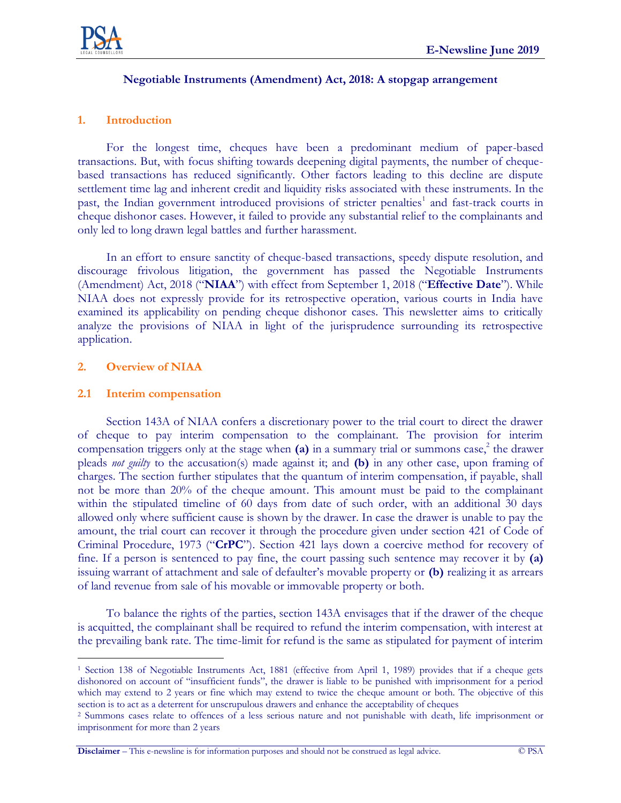

#### **Negotiable Instruments (Amendment) Act, 2018: A stopgap arrangement**

### **1. Introduction**

For the longest time, cheques have been a predominant medium of paper-based transactions. But, with focus shifting towards deepening digital payments, the number of chequebased transactions has reduced significantly. Other factors leading to this decline are dispute settlement time lag and inherent credit and liquidity risks associated with these instruments. In the past, the Indian government introduced provisions of stricter penalties<sup>1</sup> and fast-track courts in cheque dishonor cases. However, it failed to provide any substantial relief to the complainants and only led to long drawn legal battles and further harassment.

In an effort to ensure sanctity of cheque-based transactions, speedy dispute resolution, and discourage frivolous litigation, the government has passed the Negotiable Instruments (Amendment) Act, 2018 ("**NIAA**") with effect from September 1, 2018 ("**Effective Date**"). While NIAA does not expressly provide for its retrospective operation, various courts in India have examined its applicability on pending cheque dishonor cases. This newsletter aims to critically analyze the provisions of NIAA in light of the jurisprudence surrounding its retrospective application.

#### **2. Overview of NIAA**

#### **2.1 Interim compensation**

Section 143A of NIAA confers a discretionary power to the trial court to direct the drawer of cheque to pay interim compensation to the complainant. The provision for interim compensation triggers only at the stage when **(a)** in a summary trial or summons case, 2 the drawer pleads *not guilty* to the accusation(s) made against it; and **(b)** in any other case, upon framing of charges. The section further stipulates that the quantum of interim compensation, if payable, shall not be more than 20% of the cheque amount. This amount must be paid to the complainant within the stipulated timeline of 60 days from date of such order, with an additional 30 days allowed only where sufficient cause is shown by the drawer. In case the drawer is unable to pay the amount, the trial court can recover it through the procedure given under section 421 of Code of Criminal Procedure, 1973 ("**CrPC**"). Section 421 lays down a coercive method for recovery of fine. If a person is sentenced to pay fine, the court passing such sentence may recover it by **(a)** issuing warrant of attachment and sale of defaulter's movable property or **(b)** realizing it as arrears of land revenue from sale of his movable or immovable property or both.

To balance the rights of the parties, section 143A envisages that if the drawer of the cheque is acquitted, the complainant shall be required to refund the interim compensation, with interest at the prevailing bank rate. The time-limit for refund is the same as stipulated for payment of interim

**Disclaimer** – This e-newsline is for information purposes and should not be construed as legal advice. © PSA

 $\overline{a}$ <sup>1</sup> Section 138 of Negotiable Instruments Act, 1881 (effective from April 1, 1989) provides that if a cheque gets dishonored on account of "insufficient funds", the drawer is liable to be punished with imprisonment for a period which may extend to 2 years or fine which may extend to twice the cheque amount or both. The objective of this section is to act as a deterrent for unscrupulous drawers and enhance the acceptability of cheques

<sup>2</sup> Summons cases relate to offences of a less serious nature and not punishable with death, life imprisonment or imprisonment for more than 2 years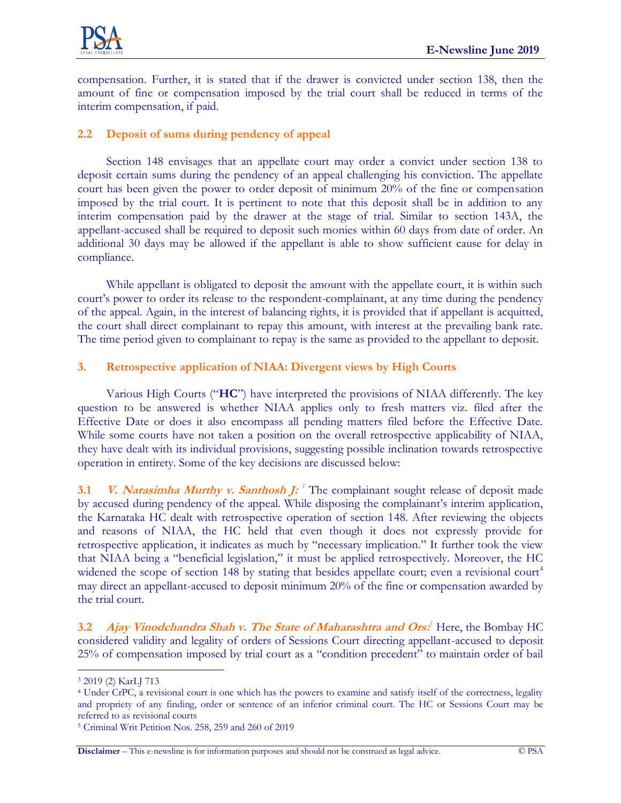

compensation. Further, it is stated that if the drawer is convicted under section 138, then the amount of fine or compensation imposed by the trial court shall be reduced in terms of the interim compensation, if paid.

# **2.2 Deposit of sums during pendency of appeal**

Section 148 envisages that an appellate court may order a convict under section 138 to deposit certain sums during the pendency of an appeal challenging his conviction. The appellate court has been given the power to order deposit of minimum 20% of the fine or compensation imposed by the trial court. It is pertinent to note that this deposit shall be in addition to any interim compensation paid by the drawer at the stage of trial. Similar to section 143A, the appellant-accused shall be required to deposit such monies within 60 days from date of order. An additional 30 days may be allowed if the appellant is able to show sufficient cause for delay in compliance.

While appellant is obligated to deposit the amount with the appellate court, it is within such court's power to order its release to the respondent-complainant, at any time during the pendency of the appeal. Again, in the interest of balancing rights, it is provided that if appellant is acquitted, the court shall direct complainant to repay this amount, with interest at the prevailing bank rate. The time period given to complainant to repay is the same as provided to the appellant to deposit.

## **3. Retrospective application of NIAA: Divergent views by High Courts**

Various High Courts ("**HC**") have interpreted the provisions of NIAA differently. The key question to be answered is whether NIAA applies only to fresh matters viz. filed after the Effective Date or does it also encompass all pending matters filed before the Effective Date. While some courts have not taken a position on the overall retrospective applicability of NIAA, they have dealt with its individual provisions, suggesting possible inclination towards retrospective operation in entirety. Some of the key decisions are discussed below:

**3.1** *V. Narasimha Murthy v. Santhosh J:*<sup>3</sup> The complainant sought release of deposit made by accused during pendency of the appeal. While disposing the complainant's interim application, the Karnataka HC dealt with retrospective operation of section 148. After reviewing the objects and reasons of NIAA, the HC held that even though it does not expressly provide for retrospective application, it indicates as much by "necessary implication." It further took the view that NIAA being a "beneficial legislation," it must be applied retrospectively. Moreover, the HC widened the scope of section 148 by stating that besides appellate court; even a revisional court<sup>4</sup> may direct an appellant-accused to deposit minimum 20% of the fine or compensation awarded by the trial court.

**3.2 Ajay Vinodchandra Shah v. The State of Maharashtra and Ors**<sup>5</sup> Here, the Bombay HC considered validity and legality of orders of Sessions Court directing appellant-accused to deposit 25% of compensation imposed by trial court as a "condition precedent" to maintain order of bail

 $\overline{a}$ <sup>3</sup> 2019 (2) KarLJ 713

<sup>4</sup> Under CrPC, a revisional court is one which has the powers to examine and satisfy itself of the correctness, legality and propriety of any finding, order or sentence of an inferior criminal court. The HC or Sessions Court may be referred to as revisional courts

<sup>5</sup> Criminal Writ Petition Nos. 258, 259 and 260 of 2019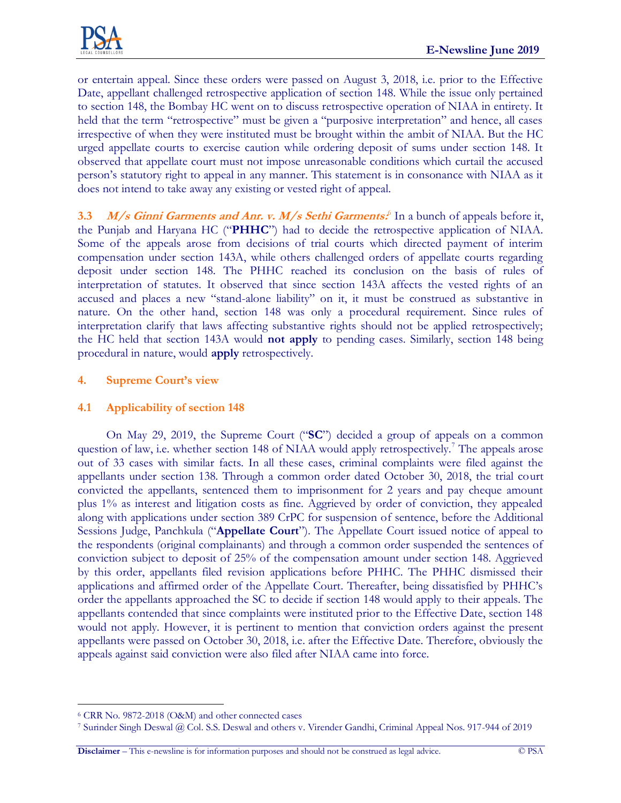

or entertain appeal. Since these orders were passed on August 3, 2018, i.e. prior to the Effective Date, appellant challenged retrospective application of section 148. While the issue only pertained to section 148, the Bombay HC went on to discuss retrospective operation of NIAA in entirety. It held that the term "retrospective" must be given a "purposive interpretation" and hence, all cases irrespective of when they were instituted must be brought within the ambit of NIAA. But the HC urged appellate courts to exercise caution while ordering deposit of sums under section 148. It observed that appellate court must not impose unreasonable conditions which curtail the accused person's statutory right to appeal in any manner. This statement is in consonance with NIAA as it does not intend to take away any existing or vested right of appeal.

3.3 *M/s Ginni Garments and Anr. v. M/s Sethi Garments.*<sup>6</sup> In a bunch of appeals before it, the Punjab and Haryana HC ("**PHHC**") had to decide the retrospective application of NIAA. Some of the appeals arose from decisions of trial courts which directed payment of interim compensation under section 143A, while others challenged orders of appellate courts regarding deposit under section 148. The PHHC reached its conclusion on the basis of rules of interpretation of statutes. It observed that since section 143A affects the vested rights of an accused and places a new "stand-alone liability" on it, it must be construed as substantive in nature. On the other hand, section 148 was only a procedural requirement. Since rules of interpretation clarify that laws affecting substantive rights should not be applied retrospectively; the HC held that section 143A would **not apply** to pending cases. Similarly, section 148 being procedural in nature, would **apply** retrospectively.

## **4. Supreme Court's view**

### **4.1 Applicability of section 148**

On May 29, 2019, the Supreme Court ("**SC**") decided a group of appeals on a common question of law, i.e. whether section 148 of NIAA would apply retrospectively.<sup>7</sup> The appeals arose out of 33 cases with similar facts. In all these cases, criminal complaints were filed against the appellants under section 138. Through a common order dated October 30, 2018, the trial court convicted the appellants, sentenced them to imprisonment for 2 years and pay cheque amount plus 1% as interest and litigation costs as fine. Aggrieved by order of conviction, they appealed along with applications under section 389 CrPC for suspension of sentence, before the Additional Sessions Judge, Panchkula ("**Appellate Court**"). The Appellate Court issued notice of appeal to the respondents (original complainants) and through a common order suspended the sentences of conviction subject to deposit of 25% of the compensation amount under section 148. Aggrieved by this order, appellants filed revision applications before PHHC. The PHHC dismissed their applications and affirmed order of the Appellate Court. Thereafter, being dissatisfied by PHHC's order the appellants approached the SC to decide if section 148 would apply to their appeals. The appellants contended that since complaints were instituted prior to the Effective Date, section 148 would not apply. However, it is pertinent to mention that conviction orders against the present appellants were passed on October 30, 2018, i.e. after the Effective Date. Therefore, obviously the appeals against said conviction were also filed after NIAA came into force.

 $\overline{a}$ 

<sup>6</sup> CRR No. 9872-2018 (O&M) and other connected cases

<sup>7</sup> Surinder Singh Deswal @ Col. S.S. Deswal and others v. Virender Gandhi, Criminal Appeal Nos. 917-944 of 2019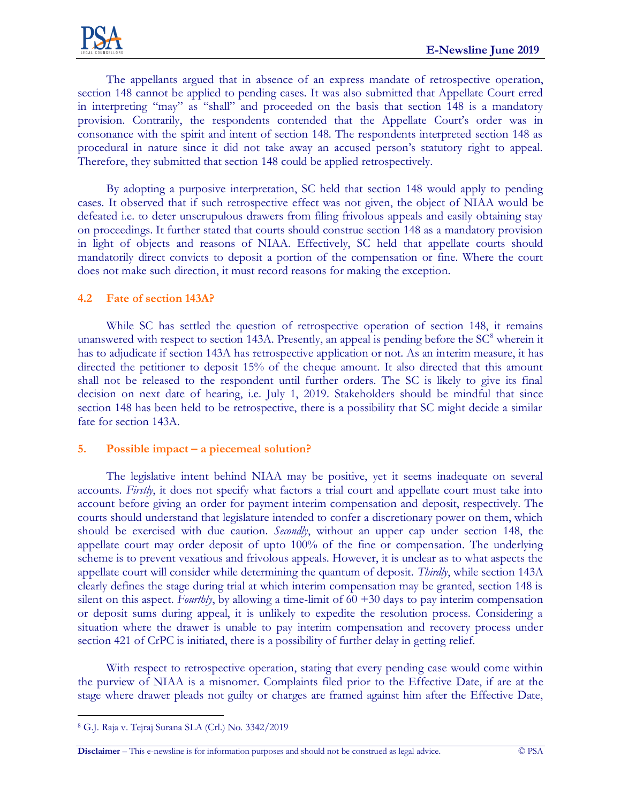The appellants argued that in absence of an express mandate of retrospective operation, section 148 cannot be applied to pending cases. It was also submitted that Appellate Court erred in interpreting "may" as "shall" and proceeded on the basis that section 148 is a mandatory provision. Contrarily, the respondents contended that the Appellate Court's order was in consonance with the spirit and intent of section 148. The respondents interpreted section 148 as procedural in nature since it did not take away an accused person's statutory right to appeal. Therefore, they submitted that section 148 could be applied retrospectively.

By adopting a purposive interpretation, SC held that section 148 would apply to pending cases. It observed that if such retrospective effect was not given, the object of NIAA would be defeated i.e. to deter unscrupulous drawers from filing frivolous appeals and easily obtaining stay on proceedings. It further stated that courts should construe section 148 as a mandatory provision in light of objects and reasons of NIAA. Effectively, SC held that appellate courts should mandatorily direct convicts to deposit a portion of the compensation or fine. Where the court does not make such direction, it must record reasons for making the exception.

## **4.2 Fate of section 143A?**

While SC has settled the question of retrospective operation of section 148, it remains unanswered with respect to section 143A. Presently, an appeal is pending before the  $SC^8$  wherein it has to adjudicate if section 143A has retrospective application or not. As an interim measure, it has directed the petitioner to deposit 15% of the cheque amount. It also directed that this amount shall not be released to the respondent until further orders. The SC is likely to give its final decision on next date of hearing, i.e. July 1, 2019. Stakeholders should be mindful that since section 148 has been held to be retrospective, there is a possibility that SC might decide a similar fate for section 143A.

#### **5. Possible impact – a piecemeal solution?**

The legislative intent behind NIAA may be positive, yet it seems inadequate on several accounts. *Firstly*, it does not specify what factors a trial court and appellate court must take into account before giving an order for payment interim compensation and deposit, respectively. The courts should understand that legislature intended to confer a discretionary power on them, which should be exercised with due caution. *Secondly*, without an upper cap under section 148, the appellate court may order deposit of upto 100% of the fine or compensation. The underlying scheme is to prevent vexatious and frivolous appeals. However, it is unclear as to what aspects the appellate court will consider while determining the quantum of deposit. *Thirdly*, while section 143A clearly defines the stage during trial at which interim compensation may be granted, section 148 is silent on this aspect. *Fourthly*, by allowing a time-limit of 60 +30 days to pay interim compensation or deposit sums during appeal, it is unlikely to expedite the resolution process. Considering a situation where the drawer is unable to pay interim compensation and recovery process under section 421 of CrPC is initiated, there is a possibility of further delay in getting relief.

With respect to retrospective operation, stating that every pending case would come within the purview of NIAA is a misnomer. Complaints filed prior to the Effective Date, if are at the stage where drawer pleads not guilty or charges are framed against him after the Effective Date,

**Disclaimer** – This e-newsline is for information purposes and should not be construed as legal advice. © PSA

 $\overline{a}$ <sup>8</sup> G.J. Raja v. Tejraj Surana SLA (Crl.) No. 3342/2019